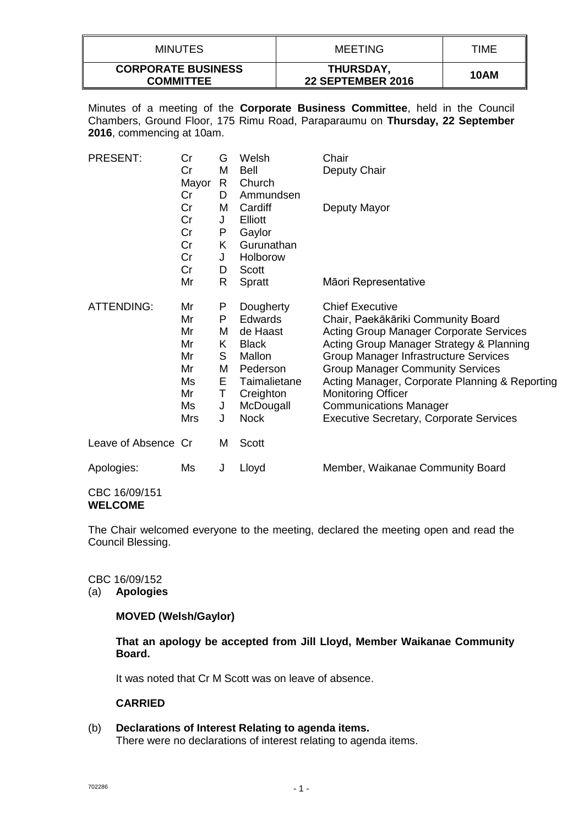| <b>MINUTES</b>                                | MEETING                               | TIME |
|-----------------------------------------------|---------------------------------------|------|
| <b>CORPORATE BUSINESS</b><br><b>COMMITTEE</b> | THURSDAY,<br><b>22 SEPTEMBER 2016</b> | 10AM |

Minutes of a meeting of the **Corporate Business Committee**, held in the Council Chambers, Ground Floor, 175 Rimu Road, Paraparaumu on **Thursday, 22 September 2016**, commencing at 10am.

| <b>PRESENT:</b>     | Cr<br>Cr<br>Mayor<br>Cr                                          | G<br>M<br>R.<br>D                               | Welsh<br><b>Bell</b><br>Church<br>Ammundsen                                                                                     | Chair<br>Deputy Chair                                                                                                                                                                                                                                                                                                                                                                                                   |
|---------------------|------------------------------------------------------------------|-------------------------------------------------|---------------------------------------------------------------------------------------------------------------------------------|-------------------------------------------------------------------------------------------------------------------------------------------------------------------------------------------------------------------------------------------------------------------------------------------------------------------------------------------------------------------------------------------------------------------------|
|                     | Cr<br>Cr<br>Cr<br>Cr<br>Cr<br>Cr                                 | M<br>J<br>P<br>K<br>J<br>D                      | Cardiff<br>Elliott<br>Gaylor<br>Gurunathan<br>Holborow<br>Scott                                                                 | Deputy Mayor                                                                                                                                                                                                                                                                                                                                                                                                            |
|                     | Mr                                                               | R                                               | Spratt                                                                                                                          | Māori Representative                                                                                                                                                                                                                                                                                                                                                                                                    |
| <b>ATTENDING:</b>   | Mr<br>Mr<br>Mr<br>Mr<br>Mr<br>Mr<br>Ms<br>Mr<br>Ms<br><b>Mrs</b> | P<br>P<br>м<br>Κ<br>S<br>M<br>E.<br>Τ<br>J<br>J | Dougherty<br>Edwards<br>de Haast<br><b>Black</b><br>Mallon<br>Pederson<br>Taimalietane<br>Creighton<br>McDougall<br><b>Nock</b> | <b>Chief Executive</b><br>Chair, Paekākāriki Community Board<br><b>Acting Group Manager Corporate Services</b><br>Acting Group Manager Strategy & Planning<br><b>Group Manager Infrastructure Services</b><br><b>Group Manager Community Services</b><br>Acting Manager, Corporate Planning & Reporting<br><b>Monitoring Officer</b><br><b>Communications Manager</b><br><b>Executive Secretary, Corporate Services</b> |
| Leave of Absence Cr |                                                                  | M                                               | Scott                                                                                                                           |                                                                                                                                                                                                                                                                                                                                                                                                                         |
| Apologies:          | Ms                                                               | J                                               | Lloyd                                                                                                                           | Member, Waikanae Community Board                                                                                                                                                                                                                                                                                                                                                                                        |

CBC 16/09/151 **WELCOME**

The Chair welcomed everyone to the meeting, declared the meeting open and read the Council Blessing.

### CBC 16/09/152

(a) **Apologies**

# **MOVED (Welsh/Gaylor)**

**That an apology be accepted from Jill Lloyd, Member Waikanae Community Board.**

It was noted that Cr M Scott was on leave of absence.

## **CARRIED**

(b) **Declarations of Interest Relating to agenda items.** There were no declarations of interest relating to agenda items.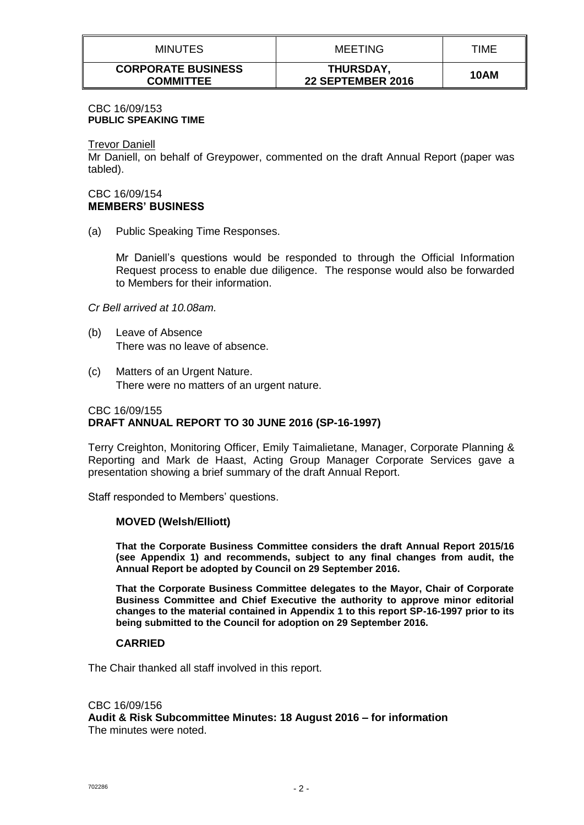| <b>MINUTES</b>                                | <b>MEETING</b>                        | TIME |
|-----------------------------------------------|---------------------------------------|------|
| <b>CORPORATE BUSINESS</b><br><b>COMMITTEE</b> | THURSDAY,<br><b>22 SEPTEMBER 2016</b> | 10AM |

#### CBC 16/09/153 **PUBLIC SPEAKING TIME**

Trevor Daniell

Mr Daniell, on behalf of Greypower, commented on the draft Annual Report (paper was tabled).

### CBC 16/09/154 **MEMBERS' BUSINESS**

(a) Public Speaking Time Responses.

Mr Daniell's questions would be responded to through the Official Information Request process to enable due diligence. The response would also be forwarded to Members for their information.

### *Cr Bell arrived at 10.08am.*

- (b) Leave of Absence There was no leave of absence.
- (c) Matters of an Urgent Nature. There were no matters of an urgent nature.

### CBC 16/09/155 **DRAFT ANNUAL REPORT TO 30 JUNE 2016 (SP-16-1997)**

Terry Creighton, Monitoring Officer, Emily Taimalietane, Manager, Corporate Planning & Reporting and Mark de Haast, Acting Group Manager Corporate Services gave a presentation showing a brief summary of the draft Annual Report.

Staff responded to Members' questions.

#### **MOVED (Welsh/Elliott)**

**That the Corporate Business Committee considers the draft Annual Report 2015/16 (see Appendix 1) and recommends, subject to any final changes from audit, the Annual Report be adopted by Council on 29 September 2016.** 

**That the Corporate Business Committee delegates to the Mayor, Chair of Corporate Business Committee and Chief Executive the authority to approve minor editorial changes to the material contained in Appendix 1 to this report SP-16-1997 prior to its being submitted to the Council for adoption on 29 September 2016.**

#### **CARRIED**

The Chair thanked all staff involved in this report.

#### CBC 16/09/156

**Audit & Risk Subcommittee Minutes: 18 August 2016 – for information** The minutes were noted.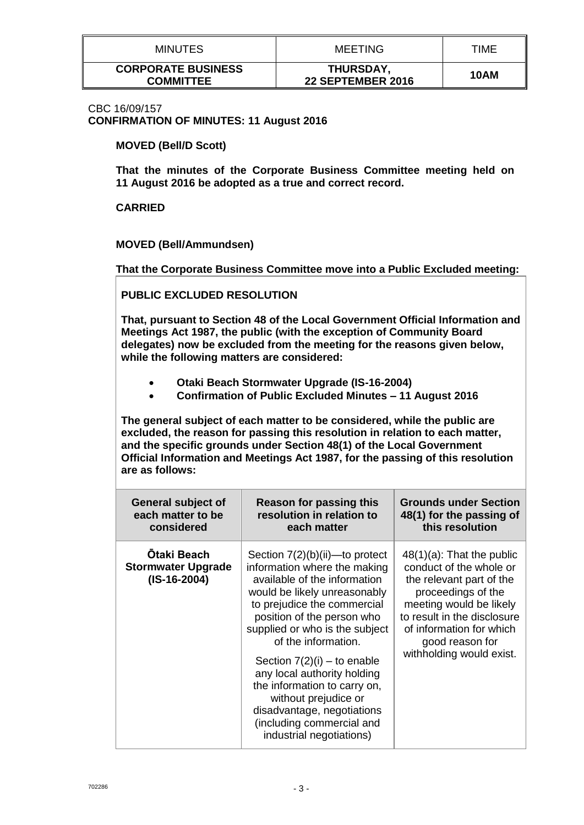| <b>MINUTES</b>                                | <b>MEETING</b>                       | TIME |
|-----------------------------------------------|--------------------------------------|------|
| <b>CORPORATE BUSINESS</b><br><b>COMMITTEE</b> | <b>THURSDAY</b><br>22 SEPTEMBER 2016 | 10AM |

CBC 16/09/157 **CONFIRMATION OF MINUTES: 11 August 2016**

**MOVED (Bell/D Scott)**

**That the minutes of the Corporate Business Committee meeting held on 11 August 2016 be adopted as a true and correct record.**

**CARRIED**

**MOVED (Bell/Ammundsen)**

**That the Corporate Business Committee move into a Public Excluded meeting:**

**PUBLIC EXCLUDED RESOLUTION**

**That, pursuant to Section 48 of the Local Government Official Information and Meetings Act 1987, the public (with the exception of Community Board delegates) now be excluded from the meeting for the reasons given below, while the following matters are considered:**

- **Otaki Beach Stormwater Upgrade (IS-16-2004)**
- **Confirmation of Public Excluded Minutes – 11 August 2016**

**The general subject of each matter to be considered, while the public are excluded, the reason for passing this resolution in relation to each matter, and the specific grounds under Section 48(1) of the Local Government Official Information and Meetings Act 1987, for the passing of this resolution are as follows:**

| <b>General subject of</b>                                         | Reason for passing this                                                                                                                                                                                                                                                                                                                                                                                                                                                | <b>Grounds under Section</b>                                                                                                                                                                                                                   |
|-------------------------------------------------------------------|------------------------------------------------------------------------------------------------------------------------------------------------------------------------------------------------------------------------------------------------------------------------------------------------------------------------------------------------------------------------------------------------------------------------------------------------------------------------|------------------------------------------------------------------------------------------------------------------------------------------------------------------------------------------------------------------------------------------------|
| each matter to be                                                 | resolution in relation to                                                                                                                                                                                                                                                                                                                                                                                                                                              | 48(1) for the passing of                                                                                                                                                                                                                       |
| considered                                                        | each matter                                                                                                                                                                                                                                                                                                                                                                                                                                                            | this resolution                                                                                                                                                                                                                                |
| <b>Otaki Beach</b><br><b>Stormwater Upgrade</b><br>$(IS-16-2004)$ | Section $7(2)(b)(ii)$ —to protect<br>information where the making<br>available of the information<br>would be likely unreasonably<br>to prejudice the commercial<br>position of the person who<br>supplied or who is the subject<br>of the information.<br>Section $7(2)(i)$ – to enable<br>any local authority holding<br>the information to carry on,<br>without prejudice or<br>disadvantage, negotiations<br>(including commercial and<br>industrial negotiations) | $48(1)(a)$ : That the public<br>conduct of the whole or<br>the relevant part of the<br>proceedings of the<br>meeting would be likely<br>to result in the disclosure<br>of information for which<br>good reason for<br>withholding would exist. |